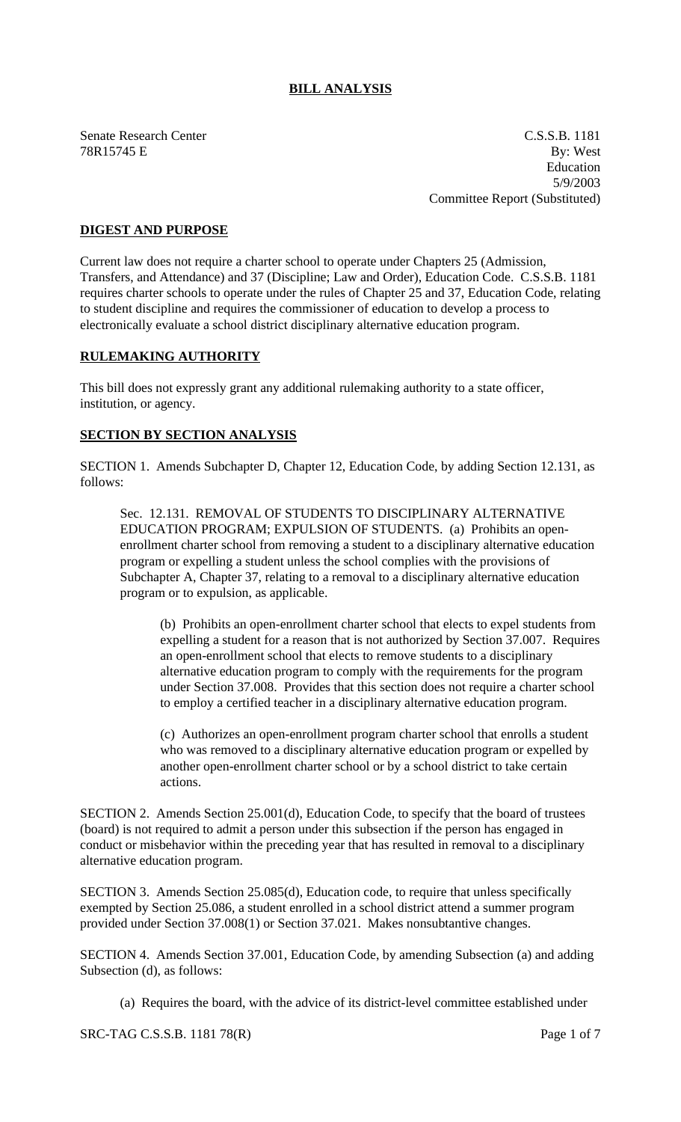## **BILL ANALYSIS**

Senate Research Center C.S.S.B. 1181 78R15745 E By: West Education 5/9/2003 Committee Report (Substituted)

## **DIGEST AND PURPOSE**

Current law does not require a charter school to operate under Chapters 25 (Admission, Transfers, and Attendance) and 37 (Discipline; Law and Order), Education Code. C.S.S.B. 1181 requires charter schools to operate under the rules of Chapter 25 and 37, Education Code, relating to student discipline and requires the commissioner of education to develop a process to electronically evaluate a school district disciplinary alternative education program.

## **RULEMAKING AUTHORITY**

This bill does not expressly grant any additional rulemaking authority to a state officer, institution, or agency.

## **SECTION BY SECTION ANALYSIS**

SECTION 1. Amends Subchapter D, Chapter 12, Education Code, by adding Section 12.131, as follows:

Sec. 12.131. REMOVAL OF STUDENTS TO DISCIPLINARY ALTERNATIVE EDUCATION PROGRAM; EXPULSION OF STUDENTS. (a) Prohibits an openenrollment charter school from removing a student to a disciplinary alternative education program or expelling a student unless the school complies with the provisions of Subchapter A, Chapter 37, relating to a removal to a disciplinary alternative education program or to expulsion, as applicable.

(b) Prohibits an open-enrollment charter school that elects to expel students from expelling a student for a reason that is not authorized by Section 37.007. Requires an open-enrollment school that elects to remove students to a disciplinary alternative education program to comply with the requirements for the program under Section 37.008. Provides that this section does not require a charter school to employ a certified teacher in a disciplinary alternative education program.

(c) Authorizes an open-enrollment program charter school that enrolls a student who was removed to a disciplinary alternative education program or expelled by another open-enrollment charter school or by a school district to take certain actions.

SECTION 2. Amends Section 25.001(d), Education Code, to specify that the board of trustees (board) is not required to admit a person under this subsection if the person has engaged in conduct or misbehavior within the preceding year that has resulted in removal to a disciplinary alternative education program.

SECTION 3. Amends Section 25.085(d), Education code, to require that unless specifically exempted by Section 25.086, a student enrolled in a school district attend a summer program provided under Section 37.008(1) or Section 37.021. Makes nonsubtantive changes.

SECTION 4. Amends Section 37.001, Education Code, by amending Subsection (a) and adding Subsection (d), as follows:

(a) Requires the board, with the advice of its district-level committee established under

SRC-TAG C.S.S.B. 1181 78(R) Page 1 of 7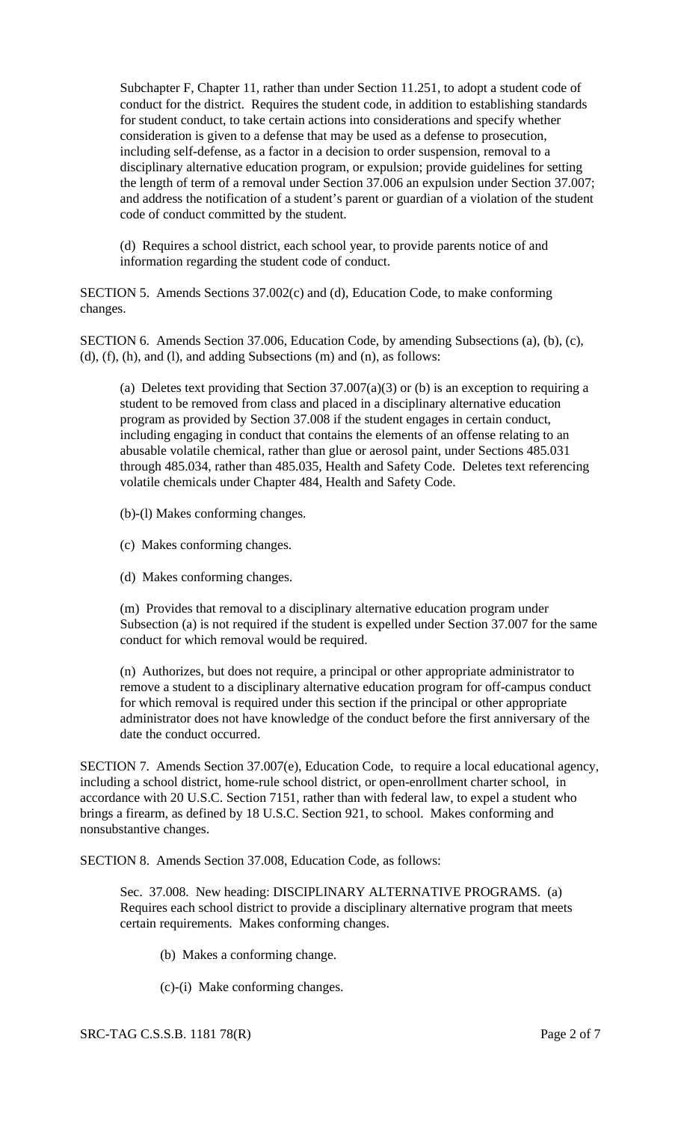Subchapter F, Chapter 11, rather than under Section 11.251, to adopt a student code of conduct for the district. Requires the student code, in addition to establishing standards for student conduct, to take certain actions into considerations and specify whether consideration is given to a defense that may be used as a defense to prosecution, including self-defense, as a factor in a decision to order suspension, removal to a disciplinary alternative education program, or expulsion; provide guidelines for setting the length of term of a removal under Section 37.006 an expulsion under Section 37.007; and address the notification of a student's parent or guardian of a violation of the student code of conduct committed by the student.

(d) Requires a school district, each school year, to provide parents notice of and information regarding the student code of conduct.

SECTION 5. Amends Sections 37.002(c) and (d), Education Code, to make conforming changes.

SECTION 6. Amends Section 37.006, Education Code, by amending Subsections (a), (b), (c), (d), (f), (h), and (l), and adding Subsections (m) and (n), as follows:

(a) Deletes text providing that Section  $37.007(a)(3)$  or (b) is an exception to requiring a student to be removed from class and placed in a disciplinary alternative education program as provided by Section 37.008 if the student engages in certain conduct, including engaging in conduct that contains the elements of an offense relating to an abusable volatile chemical, rather than glue or aerosol paint, under Sections 485.031 through 485.034, rather than 485.035, Health and Safety Code. Deletes text referencing volatile chemicals under Chapter 484, Health and Safety Code.

(b)-(l) Makes conforming changes.

- (c) Makes conforming changes.
- (d) Makes conforming changes.

(m) Provides that removal to a disciplinary alternative education program under Subsection (a) is not required if the student is expelled under Section 37.007 for the same conduct for which removal would be required.

(n) Authorizes, but does not require, a principal or other appropriate administrator to remove a student to a disciplinary alternative education program for off-campus conduct for which removal is required under this section if the principal or other appropriate administrator does not have knowledge of the conduct before the first anniversary of the date the conduct occurred.

SECTION 7. Amends Section 37.007(e), Education Code, to require a local educational agency, including a school district, home-rule school district, or open-enrollment charter school, in accordance with 20 U.S.C. Section 7151, rather than with federal law, to expel a student who brings a firearm, as defined by 18 U.S.C. Section 921, to school. Makes conforming and nonsubstantive changes.

SECTION 8. Amends Section 37.008, Education Code, as follows:

Sec. 37.008. New heading: DISCIPLINARY ALTERNATIVE PROGRAMS. (a) Requires each school district to provide a disciplinary alternative program that meets certain requirements. Makes conforming changes.

- (b) Makes a conforming change.
- (c)-(i) Make conforming changes.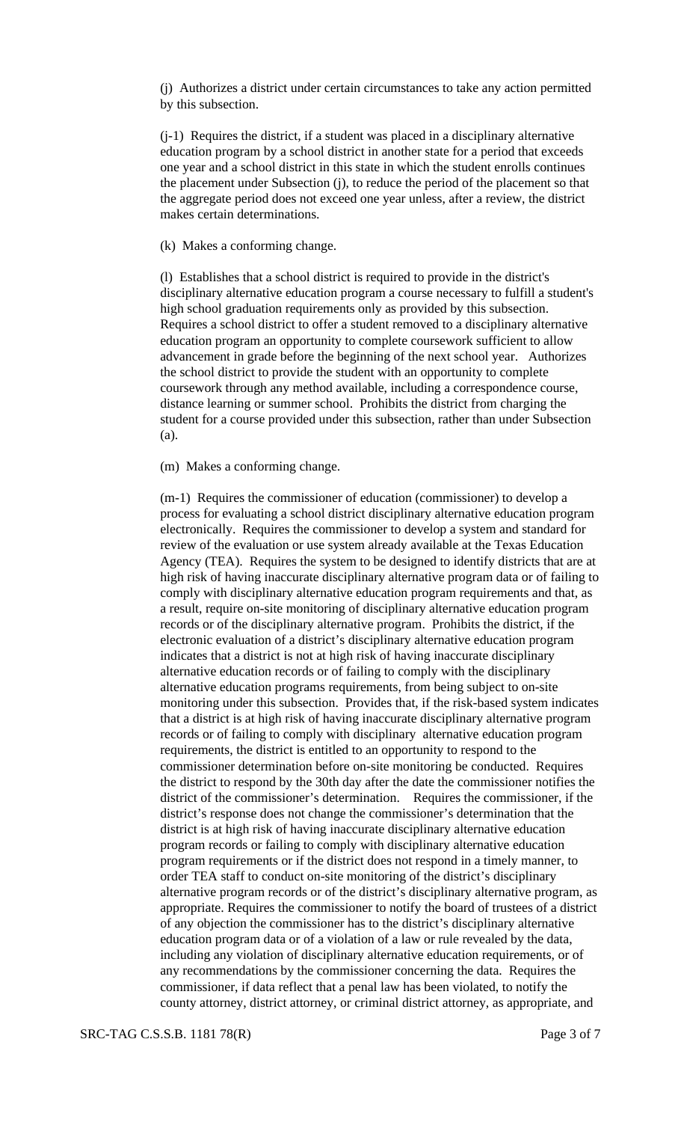(j) Authorizes a district under certain circumstances to take any action permitted by this subsection.

(j-1) Requires the district, if a student was placed in a disciplinary alternative education program by a school district in another state for a period that exceeds one year and a school district in this state in which the student enrolls continues the placement under Subsection (j), to reduce the period of the placement so that the aggregate period does not exceed one year unless, after a review, the district makes certain determinations.

(k) Makes a conforming change.

(l) Establishes that a school district is required to provide in the district's disciplinary alternative education program a course necessary to fulfill a student's high school graduation requirements only as provided by this subsection. Requires a school district to offer a student removed to a disciplinary alternative education program an opportunity to complete coursework sufficient to allow advancement in grade before the beginning of the next school year. Authorizes the school district to provide the student with an opportunity to complete coursework through any method available, including a correspondence course, distance learning or summer school. Prohibits the district from charging the student for a course provided under this subsection, rather than under Subsection (a).

(m) Makes a conforming change.

(m-1) Requires the commissioner of education (commissioner) to develop a process for evaluating a school district disciplinary alternative education program electronically. Requires the commissioner to develop a system and standard for review of the evaluation or use system already available at the Texas Education Agency (TEA). Requires the system to be designed to identify districts that are at high risk of having inaccurate disciplinary alternative program data or of failing to comply with disciplinary alternative education program requirements and that, as a result, require on-site monitoring of disciplinary alternative education program records or of the disciplinary alternative program. Prohibits the district, if the electronic evaluation of a district's disciplinary alternative education program indicates that a district is not at high risk of having inaccurate disciplinary alternative education records or of failing to comply with the disciplinary alternative education programs requirements, from being subject to on-site monitoring under this subsection. Provides that, if the risk-based system indicates that a district is at high risk of having inaccurate disciplinary alternative program records or of failing to comply with disciplinary alternative education program requirements, the district is entitled to an opportunity to respond to the commissioner determination before on-site monitoring be conducted. Requires the district to respond by the 30th day after the date the commissioner notifies the district of the commissioner's determination. Requires the commissioner, if the district's response does not change the commissioner's determination that the district is at high risk of having inaccurate disciplinary alternative education program records or failing to comply with disciplinary alternative education program requirements or if the district does not respond in a timely manner, to order TEA staff to conduct on-site monitoring of the district's disciplinary alternative program records or of the district's disciplinary alternative program, as appropriate. Requires the commissioner to notify the board of trustees of a district of any objection the commissioner has to the district's disciplinary alternative education program data or of a violation of a law or rule revealed by the data, including any violation of disciplinary alternative education requirements, or of any recommendations by the commissioner concerning the data. Requires the commissioner, if data reflect that a penal law has been violated, to notify the county attorney, district attorney, or criminal district attorney, as appropriate, and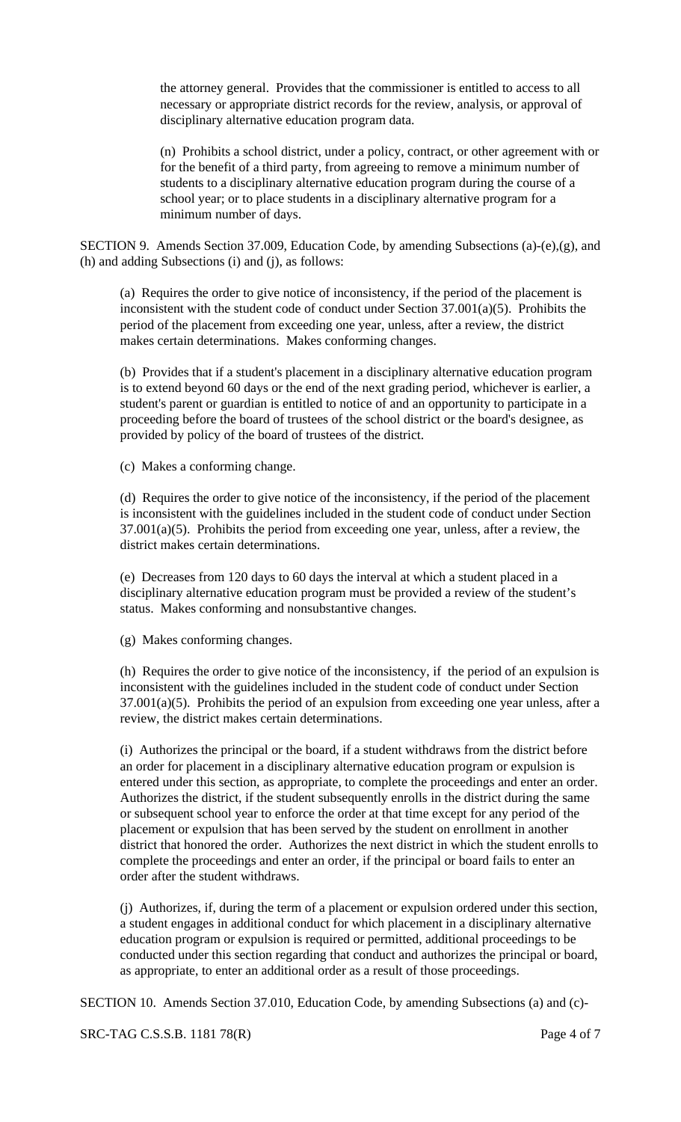the attorney general. Provides that the commissioner is entitled to access to all necessary or appropriate district records for the review, analysis, or approval of disciplinary alternative education program data.

(n) Prohibits a school district, under a policy, contract, or other agreement with or for the benefit of a third party, from agreeing to remove a minimum number of students to a disciplinary alternative education program during the course of a school year; or to place students in a disciplinary alternative program for a minimum number of days.

SECTION 9. Amends Section 37.009, Education Code, by amending Subsections (a)-(e),(g), and (h) and adding Subsections (i) and (j), as follows:

(a) Requires the order to give notice of inconsistency, if the period of the placement is inconsistent with the student code of conduct under Section 37.001(a)(5). Prohibits the period of the placement from exceeding one year, unless, after a review, the district makes certain determinations. Makes conforming changes.

(b) Provides that if a student's placement in a disciplinary alternative education program is to extend beyond 60 days or the end of the next grading period, whichever is earlier, a student's parent or guardian is entitled to notice of and an opportunity to participate in a proceeding before the board of trustees of the school district or the board's designee, as provided by policy of the board of trustees of the district.

(c) Makes a conforming change.

(d) Requires the order to give notice of the inconsistency, if the period of the placement is inconsistent with the guidelines included in the student code of conduct under Section 37.001(a)(5). Prohibits the period from exceeding one year, unless, after a review, the district makes certain determinations.

(e) Decreases from 120 days to 60 days the interval at which a student placed in a disciplinary alternative education program must be provided a review of the student's status. Makes conforming and nonsubstantive changes.

(g) Makes conforming changes.

(h) Requires the order to give notice of the inconsistency, if the period of an expulsion is inconsistent with the guidelines included in the student code of conduct under Section  $37.001(a)(5)$ . Prohibits the period of an expulsion from exceeding one year unless, after a review, the district makes certain determinations.

(i) Authorizes the principal or the board, if a student withdraws from the district before an order for placement in a disciplinary alternative education program or expulsion is entered under this section, as appropriate, to complete the proceedings and enter an order. Authorizes the district, if the student subsequently enrolls in the district during the same or subsequent school year to enforce the order at that time except for any period of the placement or expulsion that has been served by the student on enrollment in another district that honored the order. Authorizes the next district in which the student enrolls to complete the proceedings and enter an order, if the principal or board fails to enter an order after the student withdraws.

(j) Authorizes, if, during the term of a placement or expulsion ordered under this section, a student engages in additional conduct for which placement in a disciplinary alternative education program or expulsion is required or permitted, additional proceedings to be conducted under this section regarding that conduct and authorizes the principal or board, as appropriate, to enter an additional order as a result of those proceedings.

SECTION 10. Amends Section 37.010, Education Code, by amending Subsections (a) and (c)-

SRC-TAG C.S.S.B. 1181 78(R) Page 4 of 7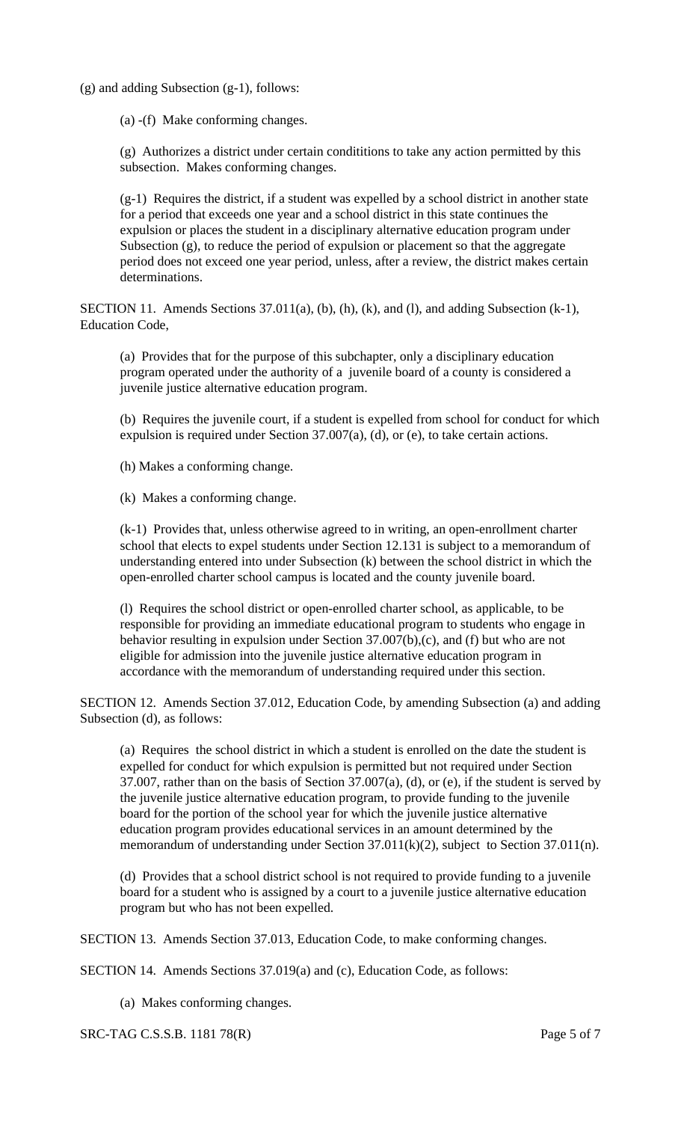(g) and adding Subsection (g-1), follows:

(a) -(f) Make conforming changes.

(g) Authorizes a district under certain condititions to take any action permitted by this subsection. Makes conforming changes.

(g-1) Requires the district, if a student was expelled by a school district in another state for a period that exceeds one year and a school district in this state continues the expulsion or places the student in a disciplinary alternative education program under Subsection (g), to reduce the period of expulsion or placement so that the aggregate period does not exceed one year period, unless, after a review, the district makes certain determinations.

SECTION 11. Amends Sections 37.011(a), (b), (h), (k), and (l), and adding Subsection (k-1), Education Code,

(a) Provides that for the purpose of this subchapter, only a disciplinary education program operated under the authority of a juvenile board of a county is considered a juvenile justice alternative education program.

(b) Requires the juvenile court, if a student is expelled from school for conduct for which expulsion is required under Section 37.007(a), (d), or (e), to take certain actions.

(h) Makes a conforming change.

(k) Makes a conforming change.

(k-1) Provides that, unless otherwise agreed to in writing, an open-enrollment charter school that elects to expel students under Section 12.131 is subject to a memorandum of understanding entered into under Subsection (k) between the school district in which the open-enrolled charter school campus is located and the county juvenile board.

(l) Requires the school district or open-enrolled charter school, as applicable, to be responsible for providing an immediate educational program to students who engage in behavior resulting in expulsion under Section 37.007(b),(c), and (f) but who are not eligible for admission into the juvenile justice alternative education program in accordance with the memorandum of understanding required under this section.

SECTION 12. Amends Section 37.012, Education Code, by amending Subsection (a) and adding Subsection (d), as follows:

(a) Requires the school district in which a student is enrolled on the date the student is expelled for conduct for which expulsion is permitted but not required under Section 37.007, rather than on the basis of Section 37.007(a), (d), or (e), if the student is served by the juvenile justice alternative education program, to provide funding to the juvenile board for the portion of the school year for which the juvenile justice alternative education program provides educational services in an amount determined by the memorandum of understanding under Section 37.011(k)(2), subject to Section 37.011(n).

(d) Provides that a school district school is not required to provide funding to a juvenile board for a student who is assigned by a court to a juvenile justice alternative education program but who has not been expelled.

SECTION 13. Amends Section 37.013, Education Code, to make conforming changes.

SECTION 14. Amends Sections 37.019(a) and (c), Education Code, as follows:

(a) Makes conforming changes.

SRC-TAG C.S.S.B. 1181 78(R) Page 5 of 7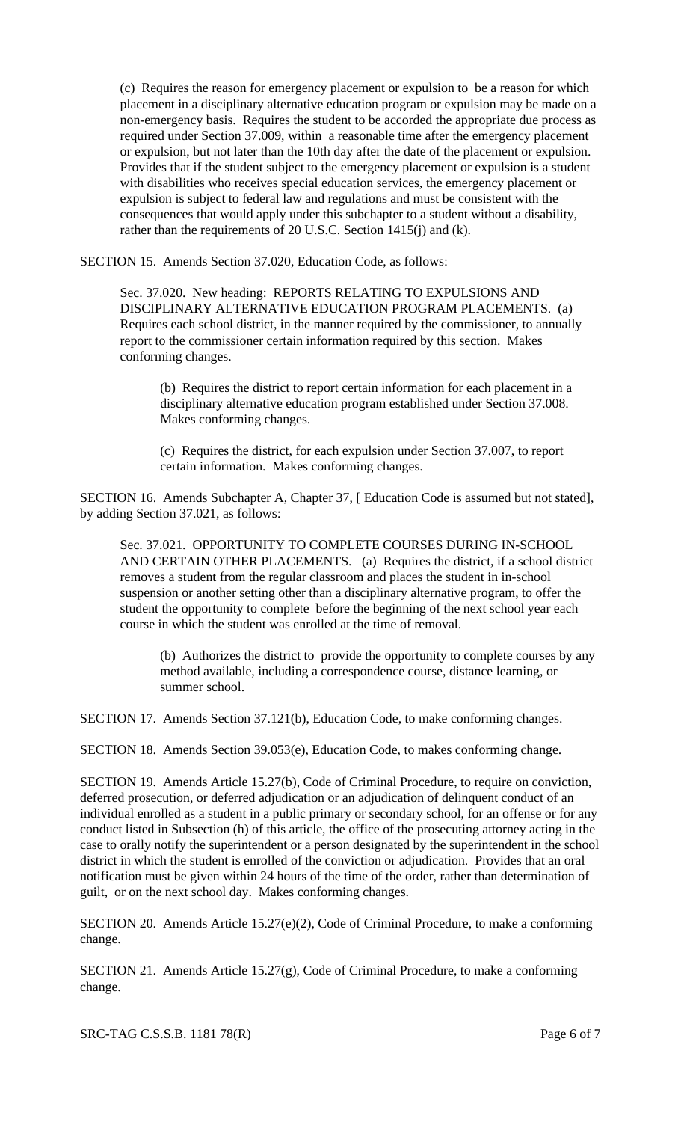(c) Requires the reason for emergency placement or expulsion to be a reason for which placement in a disciplinary alternative education program or expulsion may be made on a non-emergency basis. Requires the student to be accorded the appropriate due process as required under Section 37.009, within a reasonable time after the emergency placement or expulsion, but not later than the 10th day after the date of the placement or expulsion. Provides that if the student subject to the emergency placement or expulsion is a student with disabilities who receives special education services, the emergency placement or expulsion is subject to federal law and regulations and must be consistent with the consequences that would apply under this subchapter to a student without a disability, rather than the requirements of 20 U.S.C. Section 1415(j) and (k).

SECTION 15. Amends Section 37.020, Education Code, as follows:

Sec. 37.020. New heading: REPORTS RELATING TO EXPULSIONS AND DISCIPLINARY ALTERNATIVE EDUCATION PROGRAM PLACEMENTS. (a) Requires each school district, in the manner required by the commissioner, to annually report to the commissioner certain information required by this section. Makes conforming changes.

(b) Requires the district to report certain information for each placement in a disciplinary alternative education program established under Section 37.008. Makes conforming changes.

(c) Requires the district, for each expulsion under Section 37.007, to report certain information. Makes conforming changes.

SECTION 16. Amends Subchapter A, Chapter 37, [ Education Code is assumed but not stated], by adding Section 37.021, as follows:

Sec. 37.021. OPPORTUNITY TO COMPLETE COURSES DURING IN-SCHOOL AND CERTAIN OTHER PLACEMENTS. (a) Requires the district, if a school district removes a student from the regular classroom and places the student in in-school suspension or another setting other than a disciplinary alternative program, to offer the student the opportunity to complete before the beginning of the next school year each course in which the student was enrolled at the time of removal.

(b) Authorizes the district to provide the opportunity to complete courses by any method available, including a correspondence course, distance learning, or summer school.

SECTION 17. Amends Section 37.121(b), Education Code, to make conforming changes.

SECTION 18. Amends Section 39.053(e), Education Code, to makes conforming change.

SECTION 19. Amends Article 15.27(b), Code of Criminal Procedure, to require on conviction, deferred prosecution, or deferred adjudication or an adjudication of delinquent conduct of an individual enrolled as a student in a public primary or secondary school, for an offense or for any conduct listed in Subsection (h) of this article, the office of the prosecuting attorney acting in the case to orally notify the superintendent or a person designated by the superintendent in the school district in which the student is enrolled of the conviction or adjudication. Provides that an oral notification must be given within 24 hours of the time of the order, rather than determination of guilt, or on the next school day. Makes conforming changes.

SECTION 20. Amends Article 15.27(e)(2), Code of Criminal Procedure, to make a conforming change.

SECTION 21. Amends Article 15.27(g), Code of Criminal Procedure, to make a conforming change.

SRC-TAG C.S.S.B. 1181 78(R) Page 6 of 7